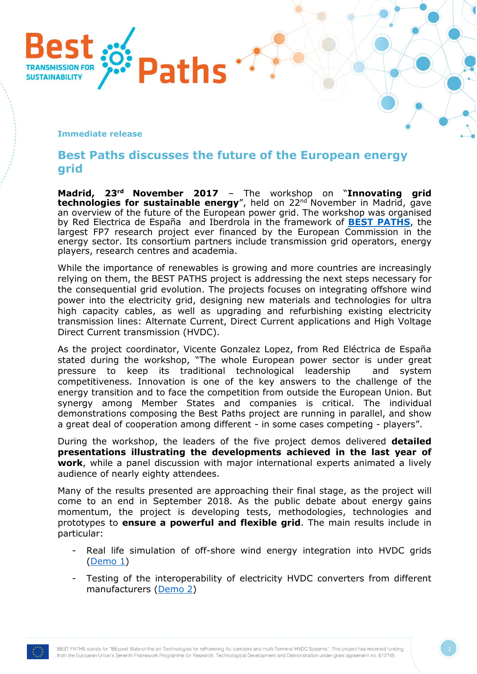

## **Immediate release**

## **Best Paths discusses the future of the European energy grid**

**Madrid, 23 rd November 2017** – The workshop on "**Innovating grid technologies for sustainable energy**", held on 22<sup>nd</sup> November in Madrid, gave an overview of the future of the European power grid. The workshop was organised by Red Electrica de España and Iberdrola in the framework of **[BEST PATHS](http://www.bestpaths-project.eu/)**, the largest FP7 research project ever financed by the European Commission in the energy sector. Its consortium partners include transmission grid operators, energy players, research centres and academia.

While the importance of renewables is growing and more countries are increasingly relying on them, the BEST PATHS project is addressing the next steps necessary for the consequential grid evolution. The projects focuses on integrating offshore wind power into the electricity grid, designing new materials and technologies for ultra high capacity cables, as well as upgrading and refurbishing existing electricity transmission lines: Alternate Current, Direct Current applications and High Voltage Direct Current transmission (HVDC).

As the project coordinator, Vicente Gonzalez Lopez, from Red Eléctrica de España stated during the workshop, "The whole European power sector is under great pressure to keep its traditional technological leadership and system competitiveness. Innovation is one of the key answers to the challenge of the energy transition and to face the competition from outside the European Union. But synergy among Member States and companies is critical. The individual demonstrations composing the Best Paths project are running in parallel, and show a great deal of cooperation among different - in some cases competing - players".

During the workshop, the leaders of the five project demos delivered **detailed presentations illustrating the developments achieved in the last year of work**, while a panel discussion with major international experts animated a lively audience of nearly eighty attendees.

Many of the results presented are approaching their final stage, as the project will come to an end in September 2018. As the public debate about energy gains momentum, the project is developing tests, methodologies, technologies and prototypes to **ensure a powerful and flexible grid**. The main results include in particular:

- Real life simulation of off-shore wind energy integration into HVDC grids [\(Demo 1\)](http://www.bestpaths-project.eu/en/demonstration/demo-1)
- Testing of the interoperability of electricity HVDC converters from different manufacturers [\(Demo 2\)](http://www.bestpaths-project.eu/en/demonstration/demo-2)